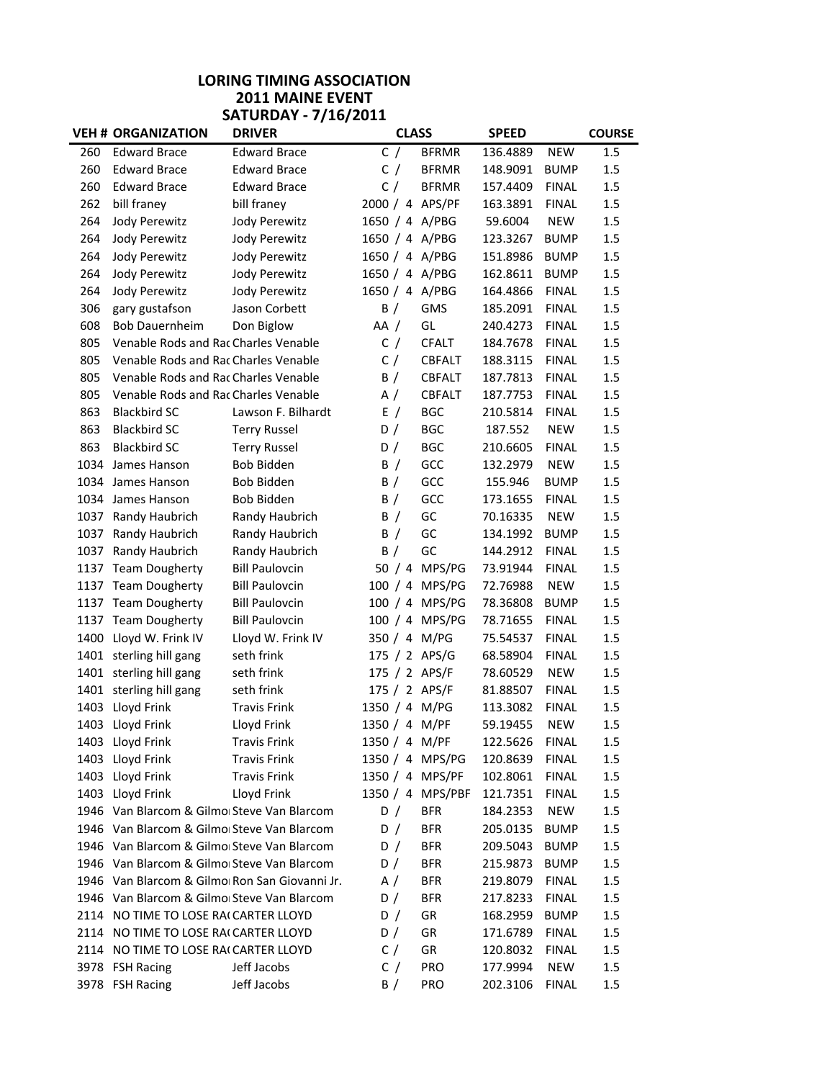## LORING TIMING ASSOCIATION 2011 MAINE EVENT SATURDAY - 7/16/2011

|      | <b>VEH # ORGANIZATION</b>                     | <b>DRIVER</b>         | <b>CLASS</b>     |                | <b>SPEED</b> |              | <b>COURSE</b> |
|------|-----------------------------------------------|-----------------------|------------------|----------------|--------------|--------------|---------------|
| 260  | <b>Edward Brace</b>                           | <b>Edward Brace</b>   | C /              | <b>BFRMR</b>   | 136.4889     | <b>NEW</b>   | 1.5           |
| 260  | <b>Edward Brace</b>                           | <b>Edward Brace</b>   | C /              | <b>BFRMR</b>   | 148.9091     | <b>BUMP</b>  | 1.5           |
| 260  | <b>Edward Brace</b>                           | <b>Edward Brace</b>   | C /              | <b>BFRMR</b>   | 157.4409     | <b>FINAL</b> | 1.5           |
| 262  | bill franey                                   | bill franey           | 2000 / 4 APS/PF  |                | 163.3891     | <b>FINAL</b> | 1.5           |
| 264  | <b>Jody Perewitz</b>                          | <b>Jody Perewitz</b>  | 1650 / 4 A/PBG   |                | 59.6004      | <b>NEW</b>   | 1.5           |
| 264  | Jody Perewitz                                 | Jody Perewitz         | 1650 / 4 A/PBG   |                | 123.3267     | <b>BUMP</b>  | 1.5           |
| 264  | Jody Perewitz                                 | Jody Perewitz         | 1650 / 4 A/PBG   |                | 151.8986     | <b>BUMP</b>  | 1.5           |
| 264  | Jody Perewitz                                 | <b>Jody Perewitz</b>  | 1650 / 4 A/PBG   |                | 162.8611     | <b>BUMP</b>  | 1.5           |
| 264  | <b>Jody Perewitz</b>                          | <b>Jody Perewitz</b>  | 1650 / 4 A/PBG   |                | 164.4866     | <b>FINAL</b> | 1.5           |
| 306  | gary gustafson                                | Jason Corbett         | B /              | <b>GMS</b>     | 185.2091     | <b>FINAL</b> | 1.5           |
| 608  | <b>Bob Dauernheim</b>                         | Don Biglow            | AA /             | GL             | 240.4273     | <b>FINAL</b> | 1.5           |
| 805  | Venable Rods and Rac Charles Venable          |                       | C /              | <b>CFALT</b>   | 184.7678     | <b>FINAL</b> | 1.5           |
| 805  | Venable Rods and Rac Charles Venable          |                       | C /              | <b>CBFALT</b>  | 188.3115     | <b>FINAL</b> | 1.5           |
| 805  | Venable Rods and Rac Charles Venable          |                       | B /              | <b>CBFALT</b>  | 187.7813     | <b>FINAL</b> | 1.5           |
| 805  | Venable Rods and Rac Charles Venable          |                       | A /              | <b>CBFALT</b>  | 187.7753     | <b>FINAL</b> | 1.5           |
| 863  | <b>Blackbird SC</b>                           | Lawson F. Bilhardt    | E /              | <b>BGC</b>     | 210.5814     | <b>FINAL</b> | 1.5           |
| 863  | <b>Blackbird SC</b>                           | <b>Terry Russel</b>   | D /              | <b>BGC</b>     | 187.552      | <b>NEW</b>   | 1.5           |
| 863  | <b>Blackbird SC</b>                           | <b>Terry Russel</b>   | D /              | <b>BGC</b>     | 210.6605     | <b>FINAL</b> | 1.5           |
| 1034 | James Hanson                                  | Bob Bidden            | B /              | GCC            | 132.2979     | <b>NEW</b>   | 1.5           |
| 1034 | James Hanson                                  | Bob Bidden            | B /              | GCC            | 155.946      | <b>BUMP</b>  | 1.5           |
| 1034 | James Hanson                                  | <b>Bob Bidden</b>     | B /              | GCC            | 173.1655     | <b>FINAL</b> | 1.5           |
| 1037 | Randy Haubrich                                | Randy Haubrich        | B /              | GC             | 70.16335     | <b>NEW</b>   | 1.5           |
|      | 1037 Randy Haubrich                           | Randy Haubrich        | B /              | GC             | 134.1992     | <b>BUMP</b>  | 1.5           |
|      | 1037 Randy Haubrich                           | Randy Haubrich        | B /              | GC             | 144.2912     | FINAL        | $1.5\,$       |
|      | 1137 Team Dougherty                           | <b>Bill Paulovcin</b> |                  | 50 / 4 MPS/PG  | 73.91944     | <b>FINAL</b> | 1.5           |
|      | 1137 Team Dougherty                           | <b>Bill Paulovcin</b> |                  | 100 / 4 MPS/PG | 72.76988     | <b>NEW</b>   | 1.5           |
|      | 1137 Team Dougherty                           | <b>Bill Paulovcin</b> |                  | 100 / 4 MPS/PG | 78.36808     | <b>BUMP</b>  | 1.5           |
|      | 1137 Team Dougherty                           | <b>Bill Paulovcin</b> |                  | 100 / 4 MPS/PG | 78.71655     | <b>FINAL</b> | 1.5           |
|      | 1400 Lloyd W. Frink IV                        | Lloyd W. Frink IV     | 350 / 4 M/PG     |                | 75.54537     | <b>FINAL</b> | 1.5           |
|      | 1401 sterling hill gang                       | seth frink            | 175 / 2 APS/G    |                | 68.58904     | <b>FINAL</b> | 1.5           |
|      | 1401 sterling hill gang                       | seth frink            | 175 / 2 APS/F    |                | 78.60529     | <b>NEW</b>   | 1.5           |
|      | 1401 sterling hill gang                       | seth frink            | 175 / 2 APS/F    |                | 81.88507     | FINAL        | $1.5\,$       |
|      | 1403 Lloyd Frink                              | <b>Travis Frink</b>   | 1350 / 4 M/PG    |                | 113.3082     | <b>FINAL</b> | 1.5           |
|      | 1403 Lloyd Frink                              | Lloyd Frink           | 1350 / 4 M/PF    |                | 59.19455     | <b>NEW</b>   | 1.5           |
|      | 1403 Lloyd Frink                              | <b>Travis Frink</b>   | 1350 / 4 M/PF    |                | 122.5626     | FINAL        | 1.5           |
|      | 1403 Lloyd Frink                              | <b>Travis Frink</b>   | 1350 / 4 MPS/PG  |                | 120.8639     | <b>FINAL</b> | 1.5           |
|      | 1403 Lloyd Frink                              | <b>Travis Frink</b>   | 1350 / 4 MPS/PF  |                | 102.8061     | <b>FINAL</b> | 1.5           |
|      | 1403 Lloyd Frink                              | Lloyd Frink           | 1350 / 4 MPS/PBF |                | 121.7351     | <b>FINAL</b> | $1.5\,$       |
|      | 1946 Van Blarcom & Gilmo Steve Van Blarcom    |                       | D /              | <b>BFR</b>     | 184.2353     | <b>NEW</b>   | 1.5           |
|      | 1946 Van Blarcom & Gilmo Steve Van Blarcom    |                       | D /              | <b>BFR</b>     | 205.0135     | <b>BUMP</b>  | 1.5           |
|      | 1946 Van Blarcom & Gilmo Steve Van Blarcom    |                       | D /              | <b>BFR</b>     | 209.5043     | <b>BUMP</b>  | 1.5           |
|      | 1946 Van Blarcom & Gilmo Steve Van Blarcom    |                       | D /              | <b>BFR</b>     | 215.9873     | <b>BUMP</b>  | 1.5           |
|      | 1946 Van Blarcom & Gilmo Ron San Giovanni Jr. |                       | A $/$            | <b>BFR</b>     | 219.8079     | <b>FINAL</b> | $1.5\,$       |
|      | 1946 Van Blarcom & Gilmo Steve Van Blarcom    |                       | D /              | <b>BFR</b>     | 217.8233     | <b>FINAL</b> | 1.5           |
|      | 2114 NO TIME TO LOSE RAI CARTER LLOYD         |                       | D /              | GR             | 168.2959     | <b>BUMP</b>  | $1.5\,$       |
|      | 2114 NO TIME TO LOSE RAI CARTER LLOYD         |                       | D /              | GR             | 171.6789     | <b>FINAL</b> | 1.5           |
|      | 2114 NO TIME TO LOSE RAI CARTER LLOYD         |                       | C /              | GR             | 120.8032     | <b>FINAL</b> | 1.5           |
|      | 3978 FSH Racing                               | Jeff Jacobs           | C /              | PRO            | 177.9994     | <b>NEW</b>   | 1.5           |
|      | 3978 FSH Racing                               | Jeff Jacobs           | B /              | <b>PRO</b>     | 202.3106     | <b>FINAL</b> | 1.5           |
|      |                                               |                       |                  |                |              |              |               |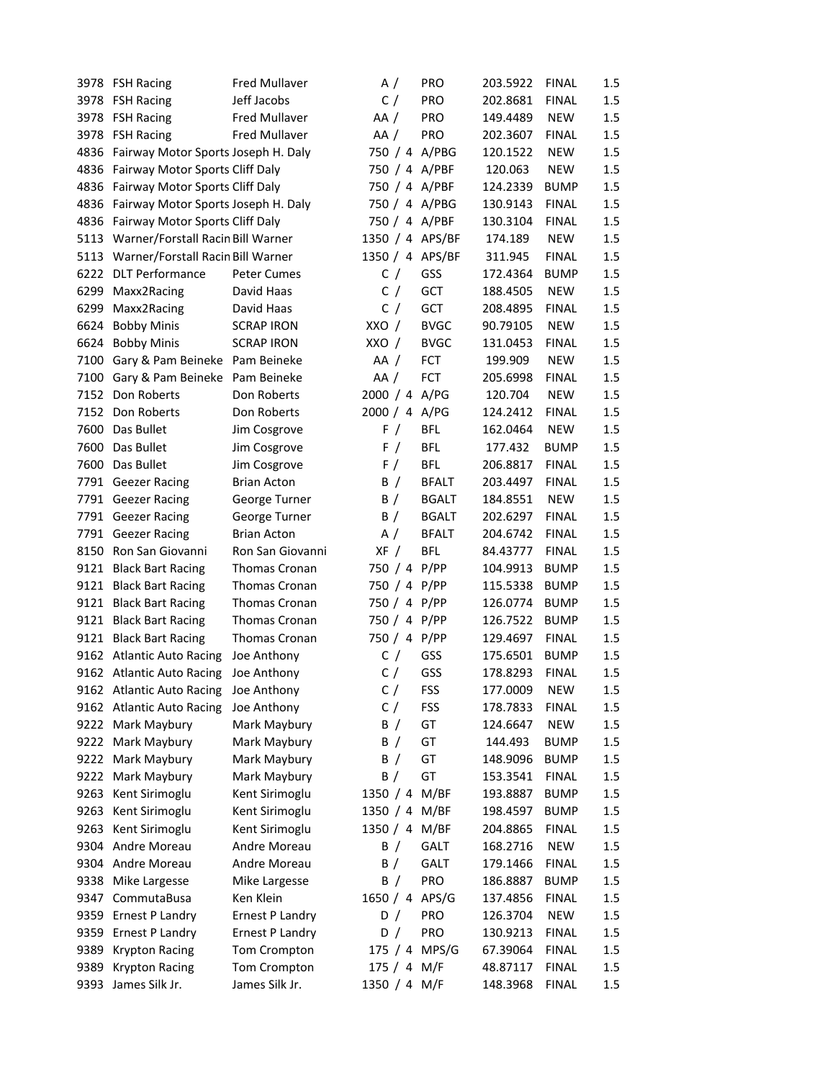|      | 3978 FSH Racing                          | <b>Fred Mullaver</b>   | A $/$           | <b>PRO</b>   | 203.5922 | <b>FINAL</b> | 1.5 |
|------|------------------------------------------|------------------------|-----------------|--------------|----------|--------------|-----|
|      | 3978 FSH Racing                          | Jeff Jacobs            | C /             | <b>PRO</b>   | 202.8681 | <b>FINAL</b> | 1.5 |
|      | 3978 FSH Racing                          | <b>Fred Mullaver</b>   | AA/             | <b>PRO</b>   | 149.4489 | <b>NEW</b>   | 1.5 |
|      | 3978 FSH Racing                          | <b>Fred Mullaver</b>   | AA/             | <b>PRO</b>   | 202.3607 | <b>FINAL</b> | 1.5 |
|      | 4836 Fairway Motor Sports Joseph H. Daly |                        | 750 / 4 A/PBG   |              | 120.1522 | <b>NEW</b>   | 1.5 |
|      | 4836 Fairway Motor Sports Cliff Daly     |                        | 750 / 4 A/PBF   |              | 120.063  | <b>NEW</b>   | 1.5 |
|      | 4836 Fairway Motor Sports Cliff Daly     |                        | 750 / 4 A/PBF   |              | 124.2339 | <b>BUMP</b>  | 1.5 |
|      | 4836 Fairway Motor Sports Joseph H. Daly |                        | 750 / 4 A/PBG   |              | 130.9143 | <b>FINAL</b> | 1.5 |
|      | 4836 Fairway Motor Sports Cliff Daly     |                        | 750 / 4 A/PBF   |              | 130.3104 | <b>FINAL</b> | 1.5 |
|      | 5113 Warner/Forstall Racin Bill Warner   |                        | 1350 / 4 APS/BF |              | 174.189  | <b>NEW</b>   | 1.5 |
|      | 5113 Warner/Forstall Racin Bill Warner   |                        | 1350 / 4 APS/BF |              | 311.945  | <b>FINAL</b> | 1.5 |
|      | 6222 DLT Performance                     | <b>Peter Cumes</b>     | C /             | GSS          | 172.4364 | <b>BUMP</b>  | 1.5 |
|      | 6299 Maxx2Racing                         | David Haas             | C /             | GCT          | 188.4505 | <b>NEW</b>   | 1.5 |
|      |                                          |                        |                 |              |          |              |     |
|      | 6299 Maxx2Racing                         | David Haas             | C /             | GCT          | 208.4895 | <b>FINAL</b> | 1.5 |
|      | 6624 Bobby Minis                         | <b>SCRAP IRON</b>      | XXO /           | <b>BVGC</b>  | 90.79105 | <b>NEW</b>   | 1.5 |
| 6624 | <b>Bobby Minis</b>                       | <b>SCRAP IRON</b>      | XXO /           | <b>BVGC</b>  | 131.0453 | <b>FINAL</b> | 1.5 |
| 7100 | Gary & Pam Beineke Pam Beineke           |                        | AA /            | <b>FCT</b>   | 199.909  | <b>NEW</b>   | 1.5 |
| 7100 | Gary & Pam Beineke Pam Beineke           |                        | AA /            | FCT          | 205.6998 | <b>FINAL</b> | 1.5 |
|      | 7152 Don Roberts                         | Don Roberts            | 2000 / 4 A/PG   |              | 120.704  | <b>NEW</b>   | 1.5 |
|      | 7152 Don Roberts                         | Don Roberts            | 2000 / 4 A/PG   |              | 124.2412 | <b>FINAL</b> | 1.5 |
|      | 7600 Das Bullet                          | Jim Cosgrove           | F /             | <b>BFL</b>   | 162.0464 | <b>NEW</b>   | 1.5 |
|      | 7600 Das Bullet                          | Jim Cosgrove           | F/              | <b>BFL</b>   | 177.432  | <b>BUMP</b>  | 1.5 |
|      | 7600 Das Bullet                          | Jim Cosgrove           | F /             | <b>BFL</b>   | 206.8817 | <b>FINAL</b> | 1.5 |
|      | 7791 Geezer Racing                       | <b>Brian Acton</b>     | B /             | BFALT        | 203.4497 | <b>FINAL</b> | 1.5 |
|      | 7791 Geezer Racing                       | George Turner          | B /             | <b>BGALT</b> | 184.8551 | <b>NEW</b>   | 1.5 |
|      | 7791 Geezer Racing                       | George Turner          | B /             | <b>BGALT</b> | 202.6297 | <b>FINAL</b> | 1.5 |
|      | 7791 Geezer Racing                       | <b>Brian Acton</b>     | A /             | <b>BFALT</b> | 204.6742 | <b>FINAL</b> | 1.5 |
|      | 8150 Ron San Giovanni                    | Ron San Giovanni       | XF /            | <b>BFL</b>   | 84.43777 | <b>FINAL</b> | 1.5 |
|      | 9121 Black Bart Racing                   | <b>Thomas Cronan</b>   | 750 / 4 P/PP    |              | 104.9913 | <b>BUMP</b>  | 1.5 |
|      | 9121 Black Bart Racing                   | Thomas Cronan          | 750 / 4 P/PP    |              | 115.5338 | <b>BUMP</b>  | 1.5 |
|      | 9121 Black Bart Racing                   | Thomas Cronan          | 750 / 4 P/PP    |              | 126.0774 | <b>BUMP</b>  | 1.5 |
|      | 9121 Black Bart Racing                   | <b>Thomas Cronan</b>   | 750 / 4 P/PP    |              | 126.7522 | <b>BUMP</b>  | 1.5 |
|      | 9121 Black Bart Racing                   | Thomas Cronan          | 750 / 4 P/PP    |              | 129.4697 | <b>FINAL</b> | 1.5 |
|      | 9162 Atlantic Auto Racing                | Joe Anthony            | C /             | GSS          | 175.6501 | <b>BUMP</b>  | 1.5 |
|      | 9162 Atlantic Auto Racing                | Joe Anthony            | C /             | GSS          | 178.8293 | <b>FINAL</b> | 1.5 |
|      | 9162 Atlantic Auto Racing                | Joe Anthony            | C /             | FSS          | 177.0009 | <b>NEW</b>   | 1.5 |
|      | 9162 Atlantic Auto Racing                | Joe Anthony            | C $/$           | <b>FSS</b>   | 178.7833 | <b>FINAL</b> | 1.5 |
|      | 9222 Mark Maybury                        | Mark Maybury           | B /             | GT           | 124.6647 | <b>NEW</b>   | 1.5 |
|      | 9222 Mark Maybury                        | Mark Maybury           | B /             | GT           | 144.493  | <b>BUMP</b>  | 1.5 |
|      | 9222 Mark Maybury                        | Mark Maybury           | B /             | GT           | 148.9096 | <b>BUMP</b>  | 1.5 |
|      | 9222 Mark Maybury                        | Mark Maybury           | B /             | GT           | 153.3541 | <b>FINAL</b> | 1.5 |
|      | 9263 Kent Sirimoglu                      | Kent Sirimoglu         | 1350 / 4        | M/BF         | 193.8887 | <b>BUMP</b>  | 1.5 |
|      | 9263 Kent Sirimoglu                      | Kent Sirimoglu         | 1350 / 4 M/BF   |              | 198.4597 | <b>BUMP</b>  | 1.5 |
| 9263 | Kent Sirimoglu                           | Kent Sirimoglu         | 1350 / 4        | M/BF         | 204.8865 | <b>FINAL</b> | 1.5 |
| 9304 | Andre Moreau                             | Andre Moreau           | B /             | <b>GALT</b>  | 168.2716 | <b>NEW</b>   | 1.5 |
| 9304 |                                          |                        |                 | <b>GALT</b>  |          |              |     |
|      | Andre Moreau                             | Andre Moreau           | B /             |              | 179.1466 | <b>FINAL</b> | 1.5 |
| 9338 | Mike Largesse                            | Mike Largesse          | B /             | <b>PRO</b>   | 186.8887 | <b>BUMP</b>  | 1.5 |
|      | 9347 CommutaBusa                         | Ken Klein              | 1650 / 4 APS/G  |              | 137.4856 | <b>FINAL</b> | 1.5 |
|      | 9359 Ernest P Landry                     | <b>Ernest P Landry</b> | D /             | <b>PRO</b>   | 126.3704 | <b>NEW</b>   | 1.5 |
|      | 9359 Ernest P Landry                     | <b>Ernest P Landry</b> | D /             | <b>PRO</b>   | 130.9213 | <b>FINAL</b> | 1.5 |
| 9389 | <b>Krypton Racing</b>                    | Tom Crompton           | 175 / 4 MPS/G   |              | 67.39064 | <b>FINAL</b> | 1.5 |
| 9389 | <b>Krypton Racing</b>                    | Tom Crompton           | 175 / 4 M/F     |              | 48.87117 | <b>FINAL</b> | 1.5 |
| 9393 | James Silk Jr.                           | James Silk Jr.         | 1350 / 4 M/F    |              | 148.3968 | <b>FINAL</b> | 1.5 |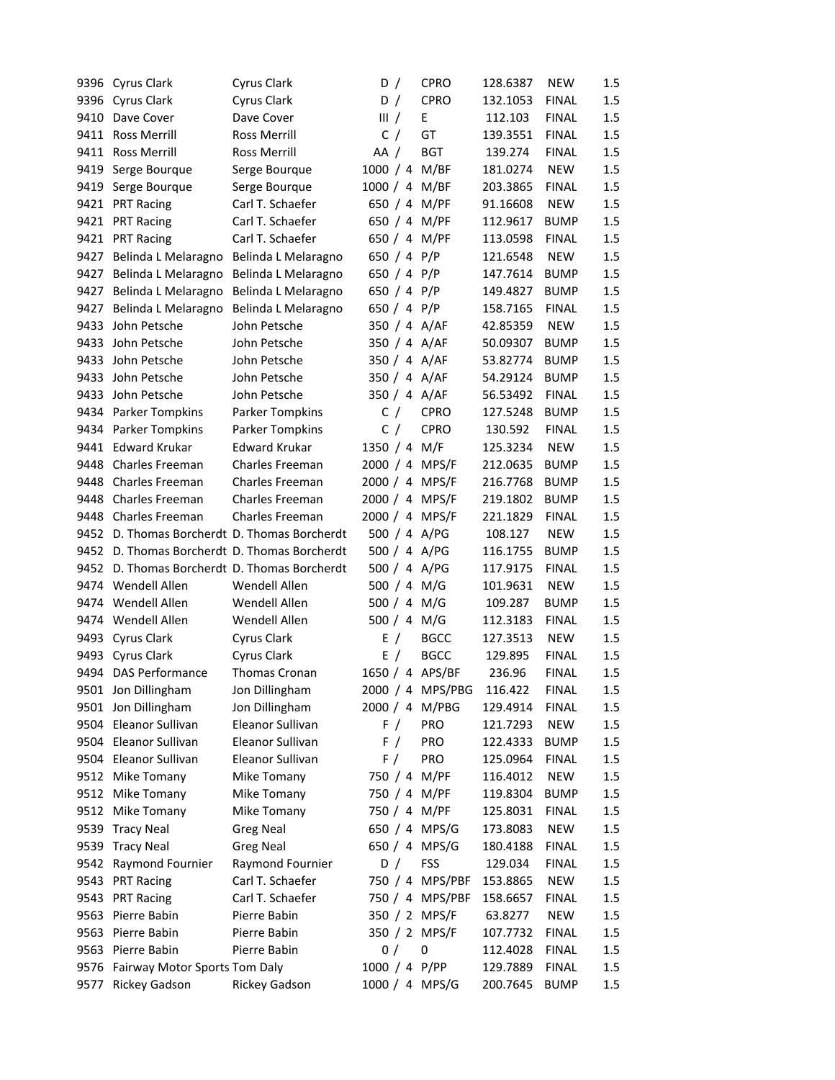|      | 9396 Cyrus Clark                             | Cyrus Clark          | D /             | <b>CPRO</b>                | 128.6387 | NEW          | $1.5\,$ |
|------|----------------------------------------------|----------------------|-----------------|----------------------------|----------|--------------|---------|
|      | 9396 Cyrus Clark                             | Cyrus Clark          | D /             | <b>CPRO</b>                | 132.1053 | <b>FINAL</b> | 1.5     |
|      | 9410 Dave Cover                              | Dave Cover           | III /           | E                          | 112.103  | <b>FINAL</b> | 1.5     |
|      | 9411 Ross Merrill                            | <b>Ross Merrill</b>  | C /             | GT                         | 139.3551 | <b>FINAL</b> | 1.5     |
|      | 9411 Ross Merrill                            | <b>Ross Merrill</b>  | AA /            | <b>BGT</b>                 | 139.274  | <b>FINAL</b> | 1.5     |
|      | 9419 Serge Bourque                           | Serge Bourque        | 1000 / 4 M/BF   |                            | 181.0274 | <b>NEW</b>   | 1.5     |
|      | 9419 Serge Bourque                           | Serge Bourque        | 1000 / 4 M/BF   |                            | 203.3865 | <b>FINAL</b> | $1.5\,$ |
|      | 9421 PRT Racing                              | Carl T. Schaefer     | 650 / 4 M/PF    |                            | 91.16608 | <b>NEW</b>   | 1.5     |
|      | 9421 PRT Racing                              | Carl T. Schaefer     | 650 / 4 M/PF    |                            | 112.9617 | <b>BUMP</b>  | 1.5     |
|      | 9421 PRT Racing                              | Carl T. Schaefer     | 650 / 4 M/PF    |                            | 113.0598 | FINAL        | 1.5     |
|      | 9427 Belinda L Melaragno                     | Belinda L Melaragno  | 650 / 4 P/P     |                            | 121.6548 | <b>NEW</b>   | 1.5     |
|      | 9427 Belinda L Melaragno                     | Belinda L Melaragno  | 650 / 4 P/P     |                            | 147.7614 | <b>BUMP</b>  | 1.5     |
|      | 9427 Belinda L Melaragno                     | Belinda L Melaragno  | 650 / 4 P/P     |                            | 149.4827 | <b>BUMP</b>  | $1.5\,$ |
|      | 9427 Belinda L Melaragno                     | Belinda L Melaragno  | 650 / 4 P/P     |                            | 158.7165 | <b>FINAL</b> | 1.5     |
|      | 9433 John Petsche                            | John Petsche         | 350 / 4 A/AF    |                            | 42.85359 | <b>NEW</b>   | 1.5     |
|      | 9433 John Petsche                            | John Petsche         | 350 / 4 A/AF    |                            | 50.09307 | <b>BUMP</b>  | 1.5     |
|      | 9433 John Petsche                            | John Petsche         | 350 / 4 A/AF    |                            | 53.82774 | <b>BUMP</b>  | 1.5     |
|      | 9433 John Petsche                            | John Petsche         | 350 / 4 A/AF    |                            | 54.29124 | <b>BUMP</b>  | 1.5     |
|      | 9433 John Petsche                            | John Petsche         | 350 / 4 A/AF    |                            | 56.53492 | <b>FINAL</b> | 1.5     |
|      | 9434 Parker Tompkins                         | Parker Tompkins      | C /             |                            |          | <b>BUMP</b>  | $1.5\,$ |
|      |                                              |                      |                 | <b>CPRO</b><br><b>CPRO</b> | 127.5248 |              |         |
|      | 9434 Parker Tompkins                         | Parker Tompkins      | C /             |                            | 130.592  | <b>FINAL</b> | $1.5\,$ |
|      | 9441 Edward Krukar                           | <b>Edward Krukar</b> | 1350 / 4 M/F    |                            | 125.3234 | <b>NEW</b>   | $1.5\,$ |
|      | 9448 Charles Freeman                         | Charles Freeman      | 2000 / 4 MPS/F  |                            | 212.0635 | <b>BUMP</b>  | 1.5     |
|      | 9448 Charles Freeman                         | Charles Freeman      | 2000 / 4 MPS/F  |                            | 216.7768 | <b>BUMP</b>  | 1.5     |
|      | 9448 Charles Freeman                         | Charles Freeman      | 2000 / 4 MPS/F  |                            | 219.1802 | <b>BUMP</b>  | 1.5     |
|      | 9448 Charles Freeman                         | Charles Freeman      | 2000 / 4 MPS/F  |                            | 221.1829 | <b>FINAL</b> | 1.5     |
|      | 9452 D. Thomas Borcherdt D. Thomas Borcherdt |                      | 500 / 4 A/PG    |                            | 108.127  | NEW          | 1.5     |
|      | 9452 D. Thomas Borcherdt D. Thomas Borcherdt |                      | 500 / 4 A/PG    |                            | 116.1755 | <b>BUMP</b>  | 1.5     |
|      | 9452 D. Thomas Borcherdt D. Thomas Borcherdt |                      | 500 / 4 A/PG    |                            | 117.9175 | <b>FINAL</b> | 1.5     |
|      | 9474 Wendell Allen                           | Wendell Allen        | 500 / 4 M/G     |                            | 101.9631 | <b>NEW</b>   | 1.5     |
|      | 9474 Wendell Allen                           | Wendell Allen        | 500 / 4 M/G     |                            | 109.287  | <b>BUMP</b>  | 1.5     |
|      | 9474 Wendell Allen                           | Wendell Allen        | 500 / 4 M/G     |                            | 112.3183 | <b>FINAL</b> | 1.5     |
|      | 9493 Cyrus Clark                             | Cyrus Clark          | E /             | <b>BGCC</b>                | 127.3513 | <b>NEW</b>   | 1.5     |
|      | 9493 Cyrus Clark                             | Cyrus Clark          | E /             | <b>BGCC</b>                | 129.895  | FINAL        | 1.5     |
|      | 9494 DAS Performance                         | Thomas Cronan        | 1650 / 4 APS/BF |                            | 236.96   | <b>FINAL</b> | 1.5     |
|      | 9501 Jon Dillingham                          | Jon Dillingham       |                 | 2000 / 4 MPS/PBG           | 116.422  | <b>FINAL</b> | 1.5     |
|      | 9501 Jon Dillingham                          | Jon Dillingham       | 2000 / 4 M/PBG  |                            | 129.4914 | <b>FINAL</b> | $1.5\,$ |
|      | 9504 Eleanor Sullivan                        | Eleanor Sullivan     | F /             | PRO                        | 121.7293 | <b>NEW</b>   | 1.5     |
|      | 9504 Eleanor Sullivan                        | Eleanor Sullivan     | F /             | PRO                        | 122.4333 | <b>BUMP</b>  | 1.5     |
|      | 9504 Eleanor Sullivan                        | Eleanor Sullivan     | F /             | <b>PRO</b>                 | 125.0964 | <b>FINAL</b> | 1.5     |
|      | 9512 Mike Tomany                             | Mike Tomany          | 750 / 4 M/PF    |                            | 116.4012 | <b>NEW</b>   | 1.5     |
|      | 9512 Mike Tomany                             | Mike Tomany          | 750 / 4 M/PF    |                            | 119.8304 | <b>BUMP</b>  | 1.5     |
|      | 9512 Mike Tomany                             | Mike Tomany          | 750 / 4 M/PF    |                            | 125.8031 | <b>FINAL</b> | 1.5     |
|      | 9539 Tracy Neal                              | <b>Greg Neal</b>     | 650 / 4 MPS/G   |                            | 173.8083 | <b>NEW</b>   | 1.5     |
|      | 9539 Tracy Neal                              | <b>Greg Neal</b>     | 650 / 4 MPS/G   |                            | 180.4188 | <b>FINAL</b> | 1.5     |
|      | 9542 Raymond Fournier                        | Raymond Fournier     | D /             | <b>FSS</b>                 | 129.034  | <b>FINAL</b> | 1.5     |
|      | 9543 PRT Racing                              | Carl T. Schaefer     |                 | 750 / 4 MPS/PBF            | 153.8865 | <b>NEW</b>   | 1.5     |
|      | 9543 PRT Racing                              | Carl T. Schaefer     |                 | 750 / 4 MPS/PBF            | 158.6657 | <b>FINAL</b> | 1.5     |
|      | 9563 Pierre Babin                            | Pierre Babin         | 350 / 2 MPS/F   |                            | 63.8277  | <b>NEW</b>   | 1.5     |
|      | 9563 Pierre Babin                            | Pierre Babin         | 350 / 2 MPS/F   |                            | 107.7732 | FINAL        | 1.5     |
|      | 9563 Pierre Babin                            | Pierre Babin         | 0/              | 0                          | 112.4028 | <b>FINAL</b> | 1.5     |
|      | 9576 Fairway Motor Sports Tom Daly           |                      | 1000 / 4 P/PP   |                            | 129.7889 | <b>FINAL</b> | 1.5     |
| 9577 | Rickey Gadson                                | Rickey Gadson        | 1000 / 4 MPS/G  |                            | 200.7645 | <b>BUMP</b>  | 1.5     |